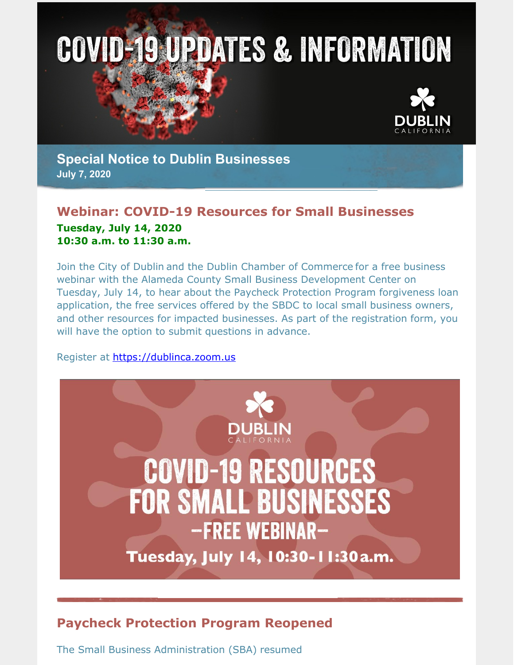



**Special Notice to Dublin Businesses July 7, 2020**

## **Webinar: COVID-19 Resources for Small Businesses Tuesday, July 14, 2020 10:30 a.m. to 11:30 a.m.**

Join the City of Dublin and the Dublin Chamber of Commerce for a free business webinar with the Alameda County Small Business Development Center on Tuesday, July 14, to hear about the Paycheck Protection Program forgiveness loan application, the free services offered by the SBDC to local small business owners, and other resources for impacted businesses. As part of the registration form, you will have the option to submit questions in advance.

#### Register at [https://dublinca.zoom.us](https://dublinca.zoom.us/webinar/register/WN_59mLmHHFRKS_4hRPgm-NsA)



# **Paycheck Protection Program Reopened**

The Small Business Administration (SBA) resumed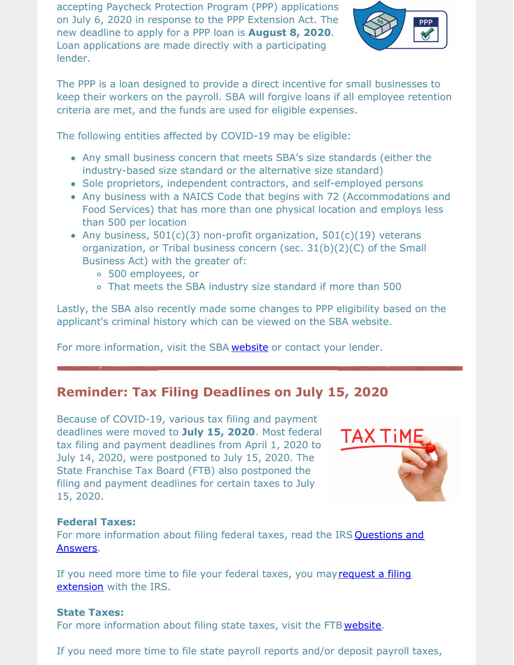accepting Paycheck Protection Program (PPP) applications on July 6, 2020 in response to the PPP Extension Act. The new deadline to apply for a PPP loan is **August 8, 2020**. Loan applications are made directly with a participating lender.



The PPP is a loan designed to provide a direct incentive for small businesses to keep their workers on the payroll. SBA will forgive loans if all employee retention criteria are met, and the funds are used for eligible expenses.

The following entities affected by COVID-19 may be eligible:

- Any small business concern that meets SBA's size standards (either the industry-based size standard or the alternative size standard)
- Sole proprietors, independent contractors, and self-employed persons
- Any business with a NAICS Code that begins with 72 (Accommodations and Food Services) that has more than one physical location and employs less than 500 per location
- Any business,  $501(c)(3)$  non-profit organization,  $501(c)(19)$  veterans organization, or Tribal business concern (sec. 31(b)(2)(C) of the Small Business Act) with the greater of:
	- 500 employees, or
	- That meets the SBA industry size standard if more than 500

Lastly, the SBA also recently made some changes to PPP eligibility based on the applicant's criminal history which can be viewed on the SBA website.

For more information, visit the SBA [website](https://www.sba.gov/funding-programs/loans/coronavirus-relief-options/paycheck-protection-program#section-header-7) or contact your lender.

# **Reminder: Tax Filing Deadlines on July 15, 2020**

Because of COVID-19, various tax filing and payment deadlines were moved to **July 15, 2020**. Most federal tax filing and payment deadlines from April 1, 2020 to July 14, 2020, were postponed to July 15, 2020. The State Franchise Tax Board (FTB) also postponed the filing and payment deadlines for certain taxes to July 15, 2020.



### **Federal Taxes:**

For more [information](https://www.irs.gov/newsroom/filing-and-payment-deadlines-questions-and-answers) about filing federal taxes, read the IRS **Questions and** Answers.

If you need more time to file your federal taxes, you may request a filing extension with the IRS.

#### **State Taxes:**

For more information about filing state taxes, visit the FTB [website](https://www.ftb.ca.gov/about-ftb/newsroom/covid-19/index.html).

If you need more time to file state payroll reports and/or deposit payroll taxes,